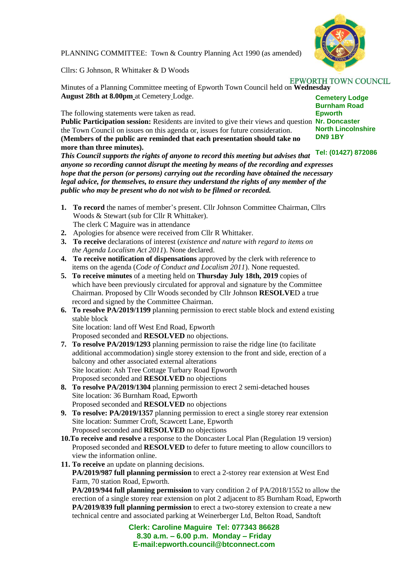

PLANNING COMMITTEE: Town & Country Planning Act 1990 (as amended)

Cllrs: G Johnson, R Whittaker & D Woods

Minutes of a Planning Committee meeting of Epworth Town Council held on **Wednesday August 28th at 8.00pm** at Cemetery Lodge.

The following statements were taken as read.

Public Participation session: Residents are invited to give their views and question Nr. Doncaster the Town Council on issues on this agenda or, issues for future consideration. **(Members of the public are reminded that each presentation should take no more than three minutes).**

*This Council supports the rights of anyone to record this meeting but advises that anyone so recording cannot disrupt the meeting by means of the recording and expresses hope that the person (or persons) carrying out the recording have obtained the necessary legal advice, for themselves, to ensure they understand the rights of any member of the public who may be present who do not wish to be filmed or recorded.*

- **1. To record** the names of member's present. Cllr Johnson Committee Chairman, Cllrs Woods & Stewart (sub for Cllr R Whittaker). The clerk C Maguire was in attendance
- **2.** Apologies for absence were received from Cllr R Whittaker.
- **3. To receive** declarations of interest (*existence and nature with regard to items on the Agenda Localism Act 2011*). None declared.
- **4. To receive notification of dispensations** approved by the clerk with reference to items on the agenda (*Code of Conduct and Localism 2011*). None requested.
- **5. To receive minutes** of a meeting held on **Thursday July 18th, 2019** copies of which have been previously circulated for approval and signature by the Committee Chairman. Proposed by Cllr Woods seconded by Cllr Johnson **RESOLVE**D a true record and signed by the Committee Chairman.
- **6. To resolve PA/2019/1199** planning permission to erect stable block and extend existing stable block

 Site location: land off West End Road, Epworth Proposed seconded and **RESOLVED** no objections.

- **7. To resolve PA/2019/1293** planning permission to raise the ridge line (to facilitate additional accommodation) single storey extension to the front and side, erection of a balcony and other associated external alterations Site location: Ash Tree Cottage Turbary Road Epworth Proposed seconded and **RESOLVED** no objections
- **8. To resolve PA/2019/1304** planning permission to erect 2 semi-detached houses Site location: 36 Burnham Road, Epworth Proposed seconded and **RESOLVED** no objections
- **9. To resolve: PA/2019/1357** planning permission to erect a single storey rear extension Site location: Summer Croft, Scawcett Lane, Epworth Proposed seconded and **RESOLVED** no objections
- **10.To receive and resolve** a response to the Doncaster Local Plan (Regulation 19 version) Proposed seconded and **RESOLVED** to defer to future meeting to allow councillors to view the information online.
- **11. To receive** an update on planning decisions. **PA/2019/987 full planning permission** to erect a 2-storey rear extension at West End Farm, 70 station Road, Epworth.

 **PA/2019/944 full planning permission** to vary condition 2 of PA/2018/1552 to allow the erection of a single storey rear extension on plot 2 adjacent to 85 Burnham Road, Epworth **PA/2019/839 full planning permission** to erect a two-storey extension to create a new technical centre and associated parking at Weinerberger Ltd, Belton Road, Sandtoft

> **Clerk: Caroline Maguire Tel: 077343 86628 8.30 a.m. – 6.00 p.m. Monday – Friday E-mail:epworth.council@btconnect.com**

## **EPWORTH TOWN COUNCIL**

**Cemetery Lodge Burnham Road Epworth North Lincolnshire DN9 1BY**

## **Tel: (01427) 872086**